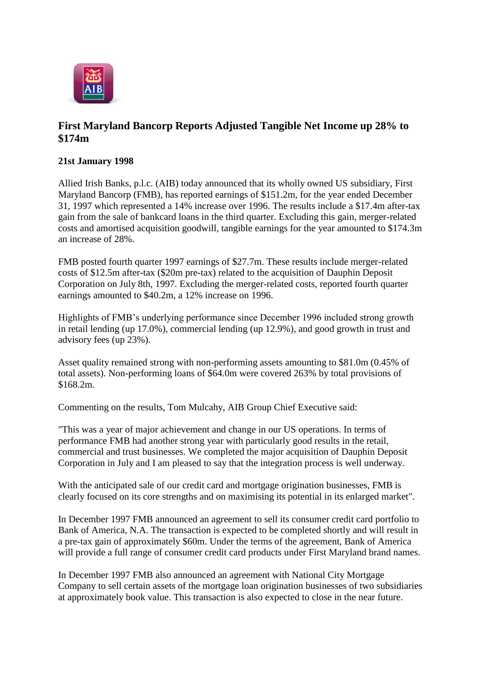

## **First Maryland Bancorp Reports Adjusted Tangible Net Income up 28% to \$174m**

## **21st January 1998**

Allied Irish Banks, p.l.c. (AIB) today announced that its wholly owned US subsidiary, First Maryland Bancorp (FMB), has reported earnings of \$151.2m, for the year ended December 31, 1997 which represented a 14% increase over 1996. The results include a \$17.4m after-tax gain from the sale of bankcard loans in the third quarter. Excluding this gain, merger-related costs and amortised acquisition goodwill, tangible earnings for the year amounted to \$174.3m an increase of 28%.

FMB posted fourth quarter 1997 earnings of \$27.7m. These results include merger-related costs of \$12.5m after-tax (\$20m pre-tax) related to the acquisition of Dauphin Deposit Corporation on July 8th, 1997. Excluding the merger-related costs, reported fourth quarter earnings amounted to \$40.2m, a 12% increase on 1996.

Highlights of FMB's underlying performance since December 1996 included strong growth in retail lending (up 17.0%), commercial lending (up 12.9%), and good growth in trust and advisory fees (up 23%).

Asset quality remained strong with non-performing assets amounting to \$81.0m (0.45% of total assets). Non-performing loans of \$64.0m were covered 263% by total provisions of \$168.2m.

Commenting on the results, Tom Mulcahy, AIB Group Chief Executive said:

"This was a year of major achievement and change in our US operations. In terms of performance FMB had another strong year with particularly good results in the retail, commercial and trust businesses. We completed the major acquisition of Dauphin Deposit Corporation in July and I am pleased to say that the integration process is well underway.

With the anticipated sale of our credit card and mortgage origination businesses, FMB is clearly focused on its core strengths and on maximising its potential in its enlarged market".

In December 1997 FMB announced an agreement to sell its consumer credit card portfolio to Bank of America, N.A. The transaction is expected to be completed shortly and will result in a pre-tax gain of approximately \$60m. Under the terms of the agreement, Bank of America will provide a full range of consumer credit card products under First Maryland brand names.

In December 1997 FMB also announced an agreement with National City Mortgage Company to sell certain assets of the mortgage loan origination businesses of two subsidiaries at approximately book value. This transaction is also expected to close in the near future.